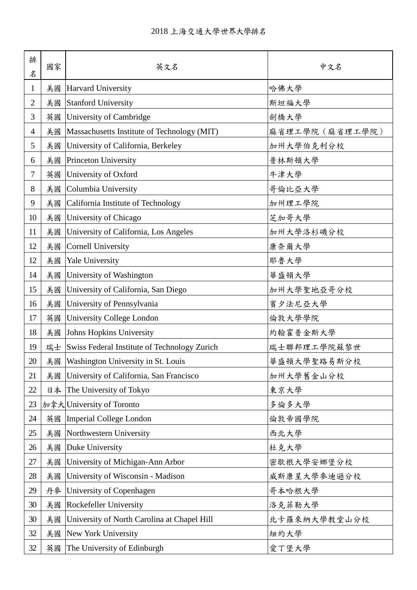| 排<br>名         | 國家 | 英文名                                          | 中文名            |
|----------------|----|----------------------------------------------|----------------|
| $\mathbf{1}$   | 美國 | Harvard University                           | 哈佛大學           |
| $\overline{2}$ | 美國 | <b>Stanford University</b>                   | 斯坦福大學          |
| 3              | 英國 | University of Cambridge                      | 劍橋大學           |
| $\overline{4}$ | 美國 | Massachusetts Institute of Technology (MIT)  | 麻省理工學院(麻省理工學院) |
| 5              | 美國 | University of California, Berkeley           | 加州大學伯克利分校      |
| 6              | 美國 | Princeton University                         | 普林斯頓大學         |
| $\tau$         | 英國 | University of Oxford                         | 牛津大學           |
| 8              | 美國 | Columbia University                          | 哥倫比亞大學         |
| 9              | 美國 | California Institute of Technology           | 加州理工學院         |
| 10             | 美國 | University of Chicago                        | 芝加哥大學          |
| 11             | 美國 | University of California, Los Angeles        | 加州大學洛杉磯分校      |
| 12             | 美國 | <b>Cornell University</b>                    | 康奈爾大學          |
| 12             | 美國 | Yale University                              | 耶魯大學           |
| 14             | 美國 | University of Washington                     | 華盛頓大學          |
| 15             | 美國 | University of California, San Diego          | 加州大學聖地亞哥分校     |
| 16             | 美國 | University of Pennsylvania                   | 賓夕法尼亞大學        |
| 17             | 英國 | University College London                    | 倫敦大學學院         |
| 18             | 美國 | Johns Hopkins University                     | 約翰霍普金斯大學       |
| 19             | 瑞士 | Swiss Federal Institute of Technology Zurich | 瑞士聯邦理工學院蘇黎世    |
| 20             | 美國 | Washington University in St. Louis           | 華盛頓大學聖路易斯分校    |
| 21             | 美國 | University of California, San Francisco      | 加州大學舊金山分校      |
| 22             | 日本 | The University of Tokyo                      | 東京大學           |
| 23             |    | 加拿大University of Toronto                     | 多倫多大學          |
| 24             | 英國 | <b>Imperial College London</b>               | 倫敦帝國學院         |
| 25             | 美國 | Northwestern University                      | 西北大學           |
| 26             | 美國 | Duke University                              | 杜克大學           |
| 27             | 美國 | University of Michigan-Ann Arbor             | 密歇根大學安娜堡分校     |
| 28             | 美國 | University of Wisconsin - Madison            | 威斯康星大學參迪遜分校    |
| 29             | 丹麥 | University of Copenhagen                     | 哥本哈根大學         |
| 30             | 美國 | Rockefeller University                       | 洛克菲勒大學         |
| 30             | 美國 | University of North Carolina at Chapel Hill  | 北卡羅來納大學教堂山分校   |
| 32             | 美國 | New York University                          | 紐約大學           |
| 32             | 英國 | The University of Edinburgh                  | 愛丁堡大學          |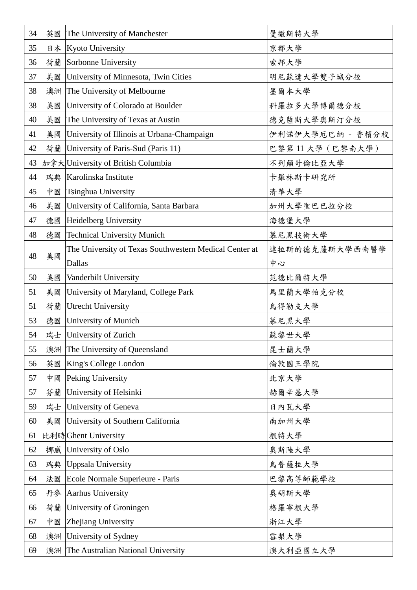| 34 | 英國 | The University of Manchester                           | 曼彻斯特大学           |
|----|----|--------------------------------------------------------|------------------|
| 35 | 日本 | <b>Kyoto University</b>                                | 京都大學             |
| 36 | 荷蘭 | Sorbonne University                                    | 索邦大學             |
| 37 | 美國 | University of Minnesota, Twin Cities                   | 明尼蘇達大學雙子城分校      |
| 38 | 澳洲 | The University of Melbourne                            | 墨爾本大學            |
| 38 | 美國 | University of Colorado at Boulder                      | 科羅拉多大學博爾德分校      |
| 40 | 美國 | The University of Texas at Austin                      | 德克薩斯大學奧斯汀分校      |
| 41 | 美國 | University of Illinois at Urbana-Champaign             | 伊利諾伊大學厄巴納 - 香檳分校 |
| 42 | 荷蘭 | University of Paris-Sud (Paris 11)                     | 巴黎第11 大學(巴黎南大學)  |
| 43 |    | 加拿大University of British Columbia                      | 不列顛哥倫比亞大學        |
| 44 | 瑞典 | Karolinska Institute                                   | 卡羅林斯卡研究所         |
| 45 | 中國 | Tsinghua University                                    | 清華大學             |
| 46 | 美國 | University of California, Santa Barbara                | 加州大學聖巴巴拉分校       |
| 47 | 德國 | Heidelberg University                                  | 海德堡大學            |
| 48 | 德國 | <b>Technical University Munich</b>                     | 慕尼黑技術大學          |
|    |    | The University of Texas Southwestern Medical Center at | 達拉斯的德克薩斯大學西南醫學   |
| 48 | 美國 | Dallas                                                 | 中心               |
| 50 | 美國 | Vanderbilt University                                  | 范德比爾特大學          |
| 51 | 美國 | University of Maryland, College Park                   | 馬里蘭大學帕克分校        |
| 51 | 荷蘭 | <b>Utrecht University</b>                              | 烏得勒支大學           |
| 53 | 德國 | University of Munich                                   | 慕尼黑大學            |
| 54 |    | 瑞士 University of Zurich                                | 蘇黎世大學            |
| 55 | 澳洲 | The University of Queensland                           | 昆士蘭大學            |
| 56 | 英國 | King's College London                                  | 倫敦國王學院           |
| 57 | 中國 | Peking University                                      | 北京大學             |
| 57 | 芬蘭 | University of Helsinki                                 | 赫爾辛基大學           |
| 59 | 瑞士 | University of Geneva                                   | 日内瓦大學            |
| 60 | 美國 | University of Southern California                      | 南加州大學            |
| 61 |    | 比利時Ghent University                                    | 根特大學             |
| 62 | 挪威 | University of Oslo                                     | 奥斯陸大學            |
| 63 | 瑞典 | <b>Uppsala University</b>                              | 烏普薩拉大學           |
| 64 | 法國 | Ecole Normale Superieure - Paris                       | 巴黎高等師範學校         |
| 65 | 丹麥 | <b>Aarhus University</b>                               | 奧胡斯大學            |
| 66 | 荷蘭 | University of Groningen                                | 格羅寧根大學           |
| 67 | 中國 | Zhejiang University                                    | 浙江大學             |
| 68 | 澳洲 | University of Sydney                                   | 雪梨大學             |
| 69 | 澳洲 | The Australian National University                     | 澳大利亞國立大學         |